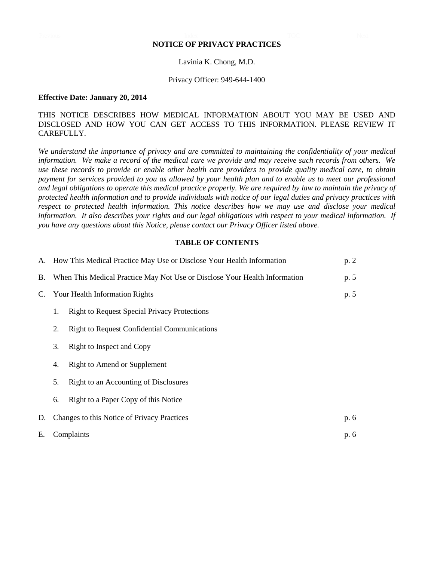#### **NOTICE OF PRIVACY PRACTICES**

#### Lavinia K. Chong, M.D.

#### Privacy Officer: 949-644-1400

#### **Effective Date: January 20, 2014**

## THIS NOTICE DESCRIBES HOW MEDICAL INFORMATION ABOUT YOU MAY BE USED AND DISCLOSED AND HOW YOU CAN GET ACCESS TO THIS INFORMATION. PLEASE REVIEW IT CAREFULLY.

*We understand the importance of privacy and are committed to maintaining the confidentiality of your medical information. We make a record of the medical care we provide and may receive such records from others. We use these records to provide or enable other health care providers to provide quality medical care, to obtain payment for services provided to you as allowed by your health plan and to enable us to meet our professional and legal obligations to operate this medical practice properly. We are required by law to maintain the privacy of protected health information and to provide individuals with notice of our legal duties and privacy practices with respect to protected health information. This notice describes how we may use and disclose your medical information. It also describes your rights and our legal obligations with respect to your medical information. If you have any questions about this Notice, please contact our Privacy Officer listed above.*

#### **TABLE OF CONTENTS**

|    | A. How This Medical Practice May Use or Disclose Your Health Information   |                                                     | p.2  |
|----|----------------------------------------------------------------------------|-----------------------------------------------------|------|
| B. | When This Medical Practice May Not Use or Disclose Your Health Information |                                                     | p. 5 |
| C. | Your Health Information Rights                                             |                                                     |      |
|    | 1.                                                                         | <b>Right to Request Special Privacy Protections</b> |      |
|    | 2.                                                                         | <b>Right to Request Confidential Communications</b> |      |
|    | 3.                                                                         | Right to Inspect and Copy                           |      |
|    | 4.                                                                         | Right to Amend or Supplement                        |      |
|    | 5.                                                                         | Right to an Accounting of Disclosures               |      |
|    | 6.                                                                         | Right to a Paper Copy of this Notice                |      |
| D. | Changes to this Notice of Privacy Practices                                |                                                     | p. 6 |
| Е. | Complaints                                                                 |                                                     | p. 6 |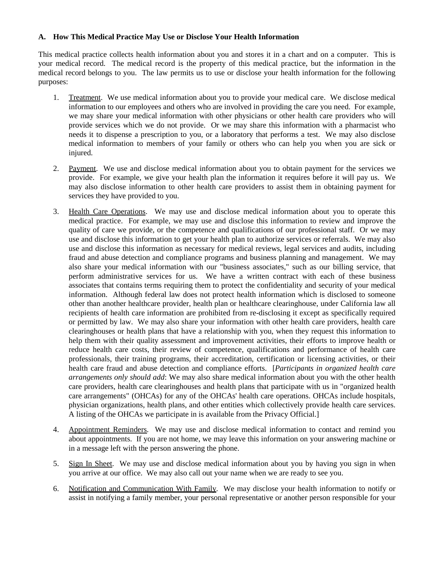## **A. How This Medical Practice May Use or Disclose Your Health Information**

This medical practice collects health information about you and stores it in a chart and on a computer. This is your medical record. The medical record is the property of this medical practice, but the information in the medical record belongs to you. The law permits us to use or disclose your health information for the following purposes:

- 1. Treatment. We use medical information about you to provide your medical care. We disclose medical information to our employees and others who are involved in providing the care you need. For example, we may share your medical information with other physicians or other health care providers who will provide services which we do not provide. Or we may share this information with a pharmacist who needs it to dispense a prescription to you, or a laboratory that performs a test. We may also disclose medical information to members of your family or others who can help you when you are sick or injured.
- 2. Payment. We use and disclose medical information about you to obtain payment for the services we provide. For example, we give your health plan the information it requires before it will pay us. We may also disclose information to other health care providers to assist them in obtaining payment for services they have provided to you.
- 3. Health Care Operations. We may use and disclose medical information about you to operate this medical practice. For example, we may use and disclose this information to review and improve the quality of care we provide, or the competence and qualifications of our professional staff. Or we may use and disclose this information to get your health plan to authorize services or referrals. We may also use and disclose this information as necessary for medical reviews, legal services and audits, including fraud and abuse detection and compliance programs and business planning and management. We may also share your medical information with our "business associates," such as our billing service, that perform administrative services for us. We have a written contract with each of these business associates that contains terms requiring them to protect the confidentiality and security of your medical information. Although federal law does not protect health information which is disclosed to someone other than another healthcare provider, health plan or healthcare clearinghouse, under California law all recipients of health care information are prohibited from re-disclosing it except as specifically required or permitted by law. We may also share your information with other health care providers, health care clearinghouses or health plans that have a relationship with you, when they request this information to help them with their quality assessment and improvement activities, their efforts to improve health or reduce health care costs, their review of competence, qualifications and performance of health care professionals, their training programs, their accreditation, certification or licensing activities, or their health care fraud and abuse detection and compliance efforts. [*Participants in organized health care arrangements only should add*: We may also share medical information about you with the other health care providers, health care clearinghouses and health plans that participate with us in "organized health care arrangements" (OHCAs) for any of the OHCAs' health care operations. OHCAs include hospitals, physician organizations, health plans, and other entities which collectively provide health care services. A listing of the OHCAs we participate in is available from the Privacy Official.]
- 4. Appointment Reminders. We may use and disclose medical information to contact and remind you about appointments. If you are not home, we may leave this information on your answering machine or in a message left with the person answering the phone.
- 5. Sign In Sheet. We may use and disclose medical information about you by having you sign in when you arrive at our office. We may also call out your name when we are ready to see you.
- 6. Notification and Communication With Family. We may disclose your health information to notify or assist in notifying a family member, your personal representative or another person responsible for your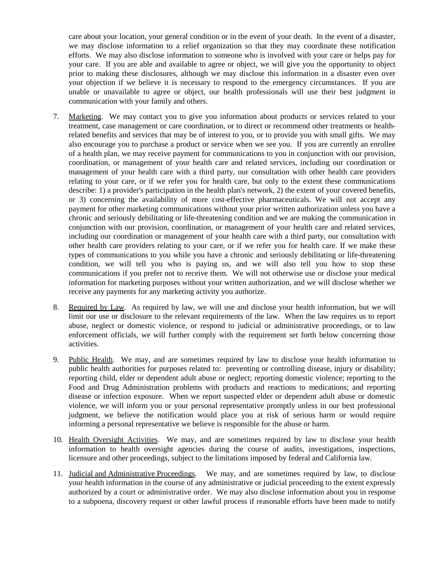care about your location, your general condition or in the event of your death. In the event of a disaster, we may disclose information to a relief organization so that they may coordinate these notification efforts. We may also disclose information to someone who is involved with your care or helps pay for your care. If you are able and available to agree or object, we will give you the opportunity to object prior to making these disclosures, although we may disclose this information in a disaster even over your objection if we believe it is necessary to respond to the emergency circumstances. If you are unable or unavailable to agree or object, our health professionals will use their best judgment in communication with your family and others.

- 7. Marketing. We may contact you to give you information about products or services related to your treatment, case management or care coordination, or to direct or recommend other treatments or healthrelated benefits and services that may be of interest to you, or to provide you with small gifts. We may also encourage you to purchase a product or service when we see you. If you are currently an enrollee of a health plan, we may receive payment for communications to you in conjunction with our provision, coordination, or management of your health care and related services, including our coordination or management of your health care with a third party, our consultation with other health care providers relating to your care, or if we refer you for health care, but only to the extent these communications describe: 1) a provider's participation in the health plan's network, 2) the extent of your covered benefits, or 3) concerning the availability of more cost-effective pharmaceuticals. We will not accept any payment for other marketing communications without your prior written authorization unless you have a chronic and seriously debilitating or life-threatening condition and we are making the communication in conjunction with our provision, coordination, or management of your health care and related services, including our coordination or management of your health care with a third party, our consultation with other health care providers relating to your care, or if we refer you for health care. If we make these types of communications to you while you have a chronic and seriously debilitating or life-threatening condition, we will tell you who is paying us, and we will also tell you how to stop these communications if you prefer not to receive them. We will not otherwise use or disclose your medical information for marketing purposes without your written authorization, and we will disclose whether we receive any payments for any marketing activity you authorize.
- 8. Required by Law. As required by law, we will use and disclose your health information, but we will limit our use or disclosure to the relevant requirements of the law. When the law requires us to report abuse, neglect or domestic violence, or respond to judicial or administrative proceedings, or to law enforcement officials, we will further comply with the requirement set forth below concerning those activities.
- 9. Public Health. We may, and are sometimes required by law to disclose your health information to public health authorities for purposes related to: preventing or controlling disease, injury or disability; reporting child, elder or dependent adult abuse or neglect; reporting domestic violence; reporting to the Food and Drug Administration problems with products and reactions to medications; and reporting disease or infection exposure. When we report suspected elder or dependent adult abuse or domestic violence, we will inform you or your personal representative promptly unless in our best professional judgment, we believe the notification would place you at risk of serious harm or would require informing a personal representative we believe is responsible for the abuse or harm.
- 10. Health Oversight Activities. We may, and are sometimes required by law to disclose your health information to health oversight agencies during the course of audits, investigations, inspections, licensure and other proceedings, subject to the limitations imposed by federal and California law.
- 11. Judicial and Administrative Proceedings. We may, and are sometimes required by law, to disclose your health information in the course of any administrative or judicial proceeding to the extent expressly authorized by a court or administrative order. We may also disclose information about you in response to a subpoena, discovery request or other lawful process if reasonable efforts have been made to notify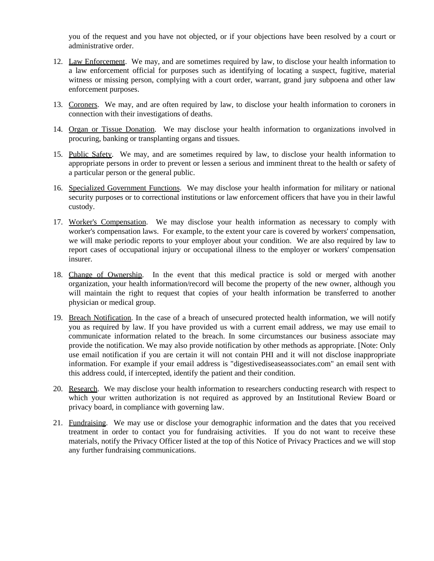you of the request and you have not objected, or if your objections have been resolved by a court or administrative order.

- 12. Law Enforcement. We may, and are sometimes required by law, to disclose your health information to a law enforcement official for purposes such as identifying of locating a suspect, fugitive, material witness or missing person, complying with a court order, warrant, grand jury subpoena and other law enforcement purposes.
- 13. Coroners. We may, and are often required by law, to disclose your health information to coroners in connection with their investigations of deaths.
- 14. Organ or Tissue Donation. We may disclose your health information to organizations involved in procuring, banking or transplanting organs and tissues.
- 15. Public Safety. We may, and are sometimes required by law, to disclose your health information to appropriate persons in order to prevent or lessen a serious and imminent threat to the health or safety of a particular person or the general public.
- 16. Specialized Government Functions. We may disclose your health information for military or national security purposes or to correctional institutions or law enforcement officers that have you in their lawful custody.
- 17. Worker's Compensation. We may disclose your health information as necessary to comply with worker's compensation laws. For example, to the extent your care is covered by workers' compensation, we will make periodic reports to your employer about your condition. We are also required by law to report cases of occupational injury or occupational illness to the employer or workers' compensation insurer.
- 18. Change of Ownership. In the event that this medical practice is sold or merged with another organization, your health information/record will become the property of the new owner, although you will maintain the right to request that copies of your health information be transferred to another physician or medical group.
- 19. Breach Notification. In the case of a breach of unsecured protected health information, we will notify you as required by law. If you have provided us with a current email address, we may use email to communicate information related to the breach. In some circumstances our business associate may provide the notification. We may also provide notification by other methods as appropriate. [Note: Only use email notification if you are certain it will not contain PHI and it will not disclose inappropriate information. For example if your email address is "digestivediseaseassociates.com" an email sent with this address could, if intercepted, identify the patient and their condition.
- 20. Research. We may disclose your health information to researchers conducting research with respect to which your written authorization is not required as approved by an Institutional Review Board or privacy board, in compliance with governing law.
- 21. Fundraising. We may use or disclose your demographic information and the dates that you received treatment in order to contact you for fundraising activities. If you do not want to receive these materials, notify the Privacy Officer listed at the top of this Notice of Privacy Practices and we will stop any further fundraising communications.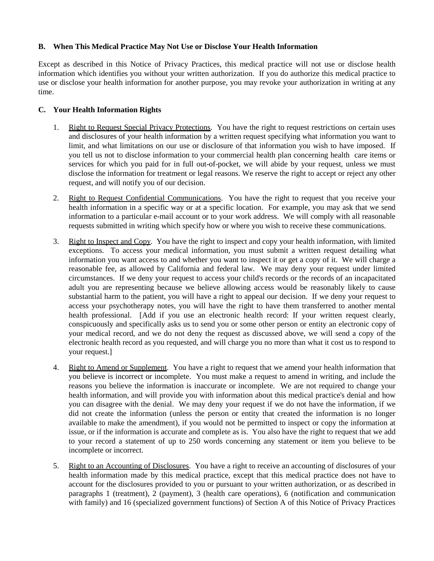## **B. When This Medical Practice May Not Use or Disclose Your Health Information**

Except as described in this Notice of Privacy Practices, this medical practice will not use or disclose health information which identifies you without your written authorization. If you do authorize this medical practice to use or disclose your health information for another purpose, you may revoke your authorization in writing at any time.

## **C. Your Health Information Rights**

- 1. Right to Request Special Privacy Protections. You have the right to request restrictions on certain uses and disclosures of your health information by a written request specifying what information you want to limit, and what limitations on our use or disclosure of that information you wish to have imposed. If you tell us not to disclose information to your commercial health plan concerning health care items or services for which you paid for in full out-of-pocket, we will abide by your request, unless we must disclose the information for treatment or legal reasons. We reserve the right to accept or reject any other request, and will notify you of our decision.
- 2. Right to Request Confidential Communications. You have the right to request that you receive your health information in a specific way or at a specific location. For example, you may ask that we send information to a particular e-mail account or to your work address. We will comply with all reasonable requests submitted in writing which specify how or where you wish to receive these communications.
- 3. Right to Inspect and Copy. You have the right to inspect and copy your health information, with limited exceptions. To access your medical information, you must submit a written request detailing what information you want access to and whether you want to inspect it or get a copy of it. We will charge a reasonable fee, as allowed by California and federal law. We may deny your request under limited circumstances. If we deny your request to access your child's records or the records of an incapacitated adult you are representing because we believe allowing access would be reasonably likely to cause substantial harm to the patient, you will have a right to appeal our decision. If we deny your request to access your psychotherapy notes, you will have the right to have them transferred to another mental health professional. [Add if you use an electronic health record: If your written request clearly, conspicuously and specifically asks us to send you or some other person or entity an electronic copy of your medical record, and we do not deny the request as discussed above, we will send a copy of the electronic health record as you requested, and will charge you no more than what it cost us to respond to your request.]
- 4. Right to Amend or Supplement. You have a right to request that we amend your health information that you believe is incorrect or incomplete. You must make a request to amend in writing, and include the reasons you believe the information is inaccurate or incomplete. We are not required to change your health information, and will provide you with information about this medical practice's denial and how you can disagree with the denial. We may deny your request if we do not have the information, if we did not create the information (unless the person or entity that created the information is no longer available to make the amendment), if you would not be permitted to inspect or copy the information at issue, or if the information is accurate and complete as is. You also have the right to request that we add to your record a statement of up to 250 words concerning any statement or item you believe to be incomplete or incorrect.
- 5. Right to an Accounting of Disclosures. You have a right to receive an accounting of disclosures of your health information made by this medical practice, except that this medical practice does not have to account for the disclosures provided to you or pursuant to your written authorization, or as described in paragraphs 1 (treatment), 2 (payment), 3 (health care operations), 6 (notification and communication with family) and 16 (specialized government functions) of Section A of this Notice of Privacy Practices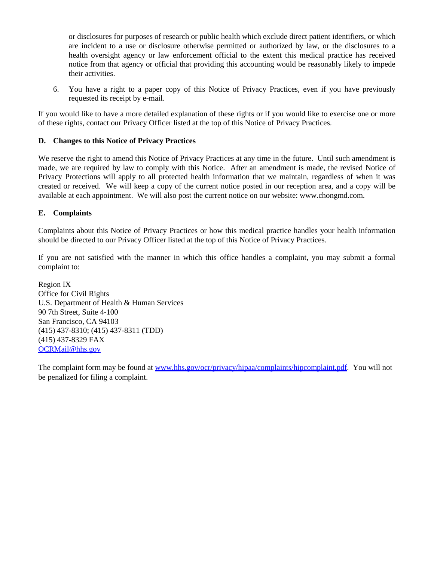or disclosures for purposes of research or public health which exclude direct patient identifiers, or which are incident to a use or disclosure otherwise permitted or authorized by law, or the disclosures to a health oversight agency or law enforcement official to the extent this medical practice has received notice from that agency or official that providing this accounting would be reasonably likely to impede their activities.

6. You have a right to a paper copy of this Notice of Privacy Practices, even if you have previously requested its receipt by e-mail.

If you would like to have a more detailed explanation of these rights or if you would like to exercise one or more of these rights, contact our Privacy Officer listed at the top of this Notice of Privacy Practices.

## **D. Changes to this Notice of Privacy Practices**

We reserve the right to amend this Notice of Privacy Practices at any time in the future. Until such amendment is made, we are required by law to comply with this Notice. After an amendment is made, the revised Notice of Privacy Protections will apply to all protected health information that we maintain, regardless of when it was created or received. We will keep a copy of the current notice posted in our reception area, and a copy will be available at each appointment. We will also post the current notice on our website: www.chongmd.com.

## **E. Complaints**

Complaints about this Notice of Privacy Practices or how this medical practice handles your health information should be directed to our Privacy Officer listed at the top of this Notice of Privacy Practices.

If you are not satisfied with the manner in which this office handles a complaint, you may submit a formal complaint to:

Region IX Office for Civil Rights U.S. Department of Health & Human Services 90 7th Street, Suite 4-100 San Francisco, CA 94103 (415) 437-8310; (415) 437-8311 (TDD) (415) 437-8329 FAX OCRMail@hhs.go[v](mailto:OCRMail@hhs.gov)

The complaint form may be found at www.hhs.gov/ocr/privacy/hipaa/complaints/hipcomplaint.pd[f. You w](http://www.hhs.gov/ocr/privacy/hipaa/complaints/hipcomplaint.pdf)ill not be penalized for filing a complaint.